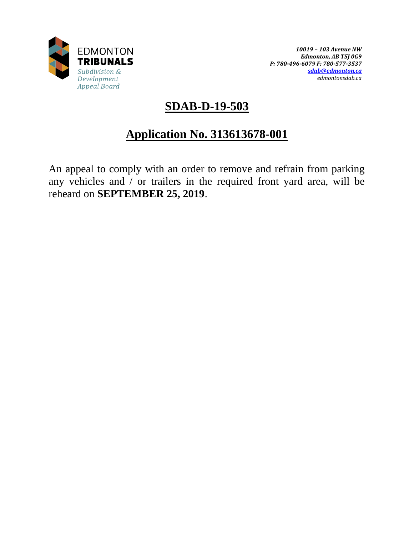

# **SDAB-D-19-503**

# **Application No. 313613678-001**

An appeal to comply with an order to remove and refrain from parking any vehicles and / or trailers in the required front yard area, will be reheard on **SEPTEMBER 25, 2019**.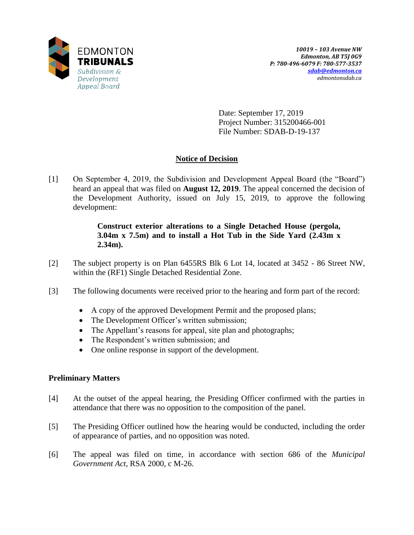

Date: September 17, 2019 Project Number: 315200466-001 File Number: SDAB-D-19-137

# **Notice of Decision**

[1] On September 4, 2019, the Subdivision and Development Appeal Board (the "Board") heard an appeal that was filed on **August 12, 2019**. The appeal concerned the decision of the Development Authority, issued on July 15, 2019, to approve the following development:

# **Construct exterior alterations to a Single Detached House (pergola, 3.04m x 7.5m) and to install a Hot Tub in the Side Yard (2.43m x 2.34m).**

- [2] The subject property is on Plan 6455RS Blk 6 Lot 14, located at 3452 86 Street NW, within the (RF1) Single Detached Residential Zone.
- [3] The following documents were received prior to the hearing and form part of the record:
	- A copy of the approved Development Permit and the proposed plans;
	- The Development Officer's written submission;
	- The Appellant's reasons for appeal, site plan and photographs;
	- The Respondent's written submission; and
	- One online response in support of the development.

# **Preliminary Matters**

- [4] At the outset of the appeal hearing, the Presiding Officer confirmed with the parties in attendance that there was no opposition to the composition of the panel.
- [5] The Presiding Officer outlined how the hearing would be conducted, including the order of appearance of parties, and no opposition was noted.
- [6] The appeal was filed on time, in accordance with section 686 of the *Municipal Government Act*, RSA 2000, c M-26.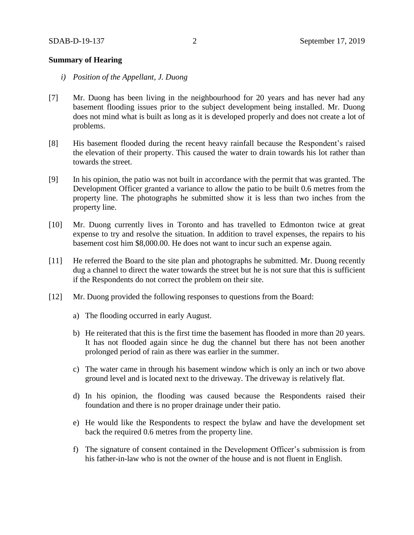## **Summary of Hearing**

- *i) Position of the Appellant, J. Duong*
- [7] Mr. Duong has been living in the neighbourhood for 20 years and has never had any basement flooding issues prior to the subject development being installed. Mr. Duong does not mind what is built as long as it is developed properly and does not create a lot of problems.
- [8] His basement flooded during the recent heavy rainfall because the Respondent's raised the elevation of their property. This caused the water to drain towards his lot rather than towards the street.
- [9] In his opinion, the patio was not built in accordance with the permit that was granted. The Development Officer granted a variance to allow the patio to be built 0.6 metres from the property line. The photographs he submitted show it is less than two inches from the property line.
- [10] Mr. Duong currently lives in Toronto and has travelled to Edmonton twice at great expense to try and resolve the situation. In addition to travel expenses, the repairs to his basement cost him \$8,000.00. He does not want to incur such an expense again.
- [11] He referred the Board to the site plan and photographs he submitted. Mr. Duong recently dug a channel to direct the water towards the street but he is not sure that this is sufficient if the Respondents do not correct the problem on their site.
- [12] Mr. Duong provided the following responses to questions from the Board:
	- a) The flooding occurred in early August.
	- b) He reiterated that this is the first time the basement has flooded in more than 20 years. It has not flooded again since he dug the channel but there has not been another prolonged period of rain as there was earlier in the summer.
	- c) The water came in through his basement window which is only an inch or two above ground level and is located next to the driveway. The driveway is relatively flat.
	- d) In his opinion, the flooding was caused because the Respondents raised their foundation and there is no proper drainage under their patio.
	- e) He would like the Respondents to respect the bylaw and have the development set back the required 0.6 metres from the property line.
	- f) The signature of consent contained in the Development Officer's submission is from his father-in-law who is not the owner of the house and is not fluent in English.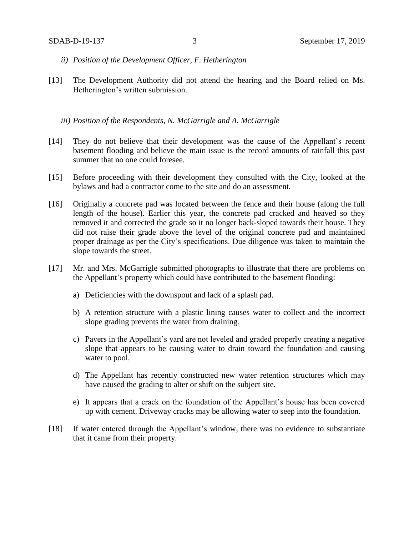- *ii) Position of the Development Officer, F. Hetherington*
- [13] The Development Authority did not attend the hearing and the Board relied on Ms. Hetherington's written submission.

*iii) Position of the Respondents, N. McGarrigle and A. McGarrigle*

- [14] They do not believe that their development was the cause of the Appellant's recent basement flooding and believe the main issue is the record amounts of rainfall this past summer that no one could foresee.
- [15] Before proceeding with their development they consulted with the City, looked at the bylaws and had a contractor come to the site and do an assessment.
- [16] Originally a concrete pad was located between the fence and their house (along the full length of the house). Earlier this year, the concrete pad cracked and heaved so they removed it and corrected the grade so it no longer back-sloped towards their house. They did not raise their grade above the level of the original concrete pad and maintained proper drainage as per the City's specifications. Due diligence was taken to maintain the slope towards the street.
- [17] Mr. and Mrs. McGarrigle submitted photographs to illustrate that there are problems on the Appellant's property which could have contributed to the basement flooding:
	- a) Deficiencies with the downspout and lack of a splash pad.
	- b) A retention structure with a plastic lining causes water to collect and the incorrect slope grading prevents the water from draining.
	- c) Pavers in the Appellant's yard are not leveled and graded properly creating a negative slope that appears to be causing water to drain toward the foundation and causing water to pool.
	- d) The Appellant has recently constructed new water retention structures which may have caused the grading to alter or shift on the subject site.
	- e) It appears that a crack on the foundation of the Appellant's house has been covered up with cement. Driveway cracks may be allowing water to seep into the foundation.
- [18] If water entered through the Appellant's window, there was no evidence to substantiate that it came from their property.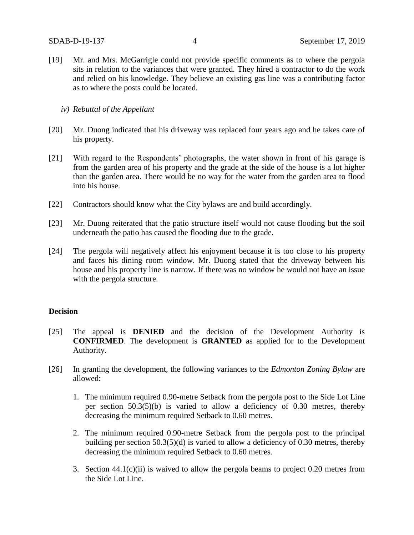[19] Mr. and Mrs. McGarrigle could not provide specific comments as to where the pergola sits in relation to the variances that were granted. They hired a contractor to do the work and relied on his knowledge. They believe an existing gas line was a contributing factor as to where the posts could be located.

## *iv) Rebuttal of the Appellant*

- [20] Mr. Duong indicated that his driveway was replaced four years ago and he takes care of his property.
- [21] With regard to the Respondents' photographs, the water shown in front of his garage is from the garden area of his property and the grade at the side of the house is a lot higher than the garden area. There would be no way for the water from the garden area to flood into his house.
- [22] Contractors should know what the City bylaws are and build accordingly.
- [23] Mr. Duong reiterated that the patio structure itself would not cause flooding but the soil underneath the patio has caused the flooding due to the grade.
- [24] The pergola will negatively affect his enjoyment because it is too close to his property and faces his dining room window. Mr. Duong stated that the driveway between his house and his property line is narrow. If there was no window he would not have an issue with the pergola structure.

## **Decision**

- [25] The appeal is **DENIED** and the decision of the Development Authority is **CONFIRMED**. The development is **GRANTED** as applied for to the Development Authority.
- [26] In granting the development, the following variances to the *Edmonton Zoning Bylaw* are allowed:
	- 1. The minimum required 0.90-metre Setback from the pergola post to the Side Lot Line per section 50.3(5)(b) is varied to allow a deficiency of 0.30 metres, thereby decreasing the minimum required Setback to 0.60 metres.
	- 2. The minimum required 0.90-metre Setback from the pergola post to the principal building per section 50.3(5)(d) is varied to allow a deficiency of 0.30 metres, thereby decreasing the minimum required Setback to 0.60 metres.
	- 3. Section  $44.1(c)(ii)$  is waived to allow the pergola beams to project 0.20 metres from the Side Lot Line.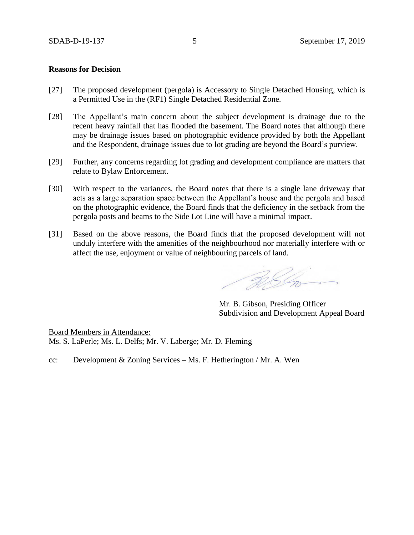### **Reasons for Decision**

- [27] The proposed development (pergola) is Accessory to Single Detached Housing, which is a Permitted Use in the (RF1) Single Detached Residential Zone.
- [28] The Appellant's main concern about the subject development is drainage due to the recent heavy rainfall that has flooded the basement. The Board notes that although there may be drainage issues based on photographic evidence provided by both the Appellant and the Respondent, drainage issues due to lot grading are beyond the Board's purview.
- [29] Further, any concerns regarding lot grading and development compliance are matters that relate to Bylaw Enforcement.
- [30] With respect to the variances, the Board notes that there is a single lane driveway that acts as a large separation space between the Appellant's house and the pergola and based on the photographic evidence, the Board finds that the deficiency in the setback from the pergola posts and beams to the Side Lot Line will have a minimal impact.
- [31] Based on the above reasons, the Board finds that the proposed development will not unduly interfere with the amenities of the neighbourhood nor materially interfere with or affect the use, enjoyment or value of neighbouring parcels of land.

Religion

Mr. B. Gibson, Presiding Officer Subdivision and Development Appeal Board

Board Members in Attendance: Ms. S. LaPerle; Ms. L. Delfs; Mr. V. Laberge; Mr. D. Fleming

cc: Development & Zoning Services – Ms. F. Hetherington / Mr. A. Wen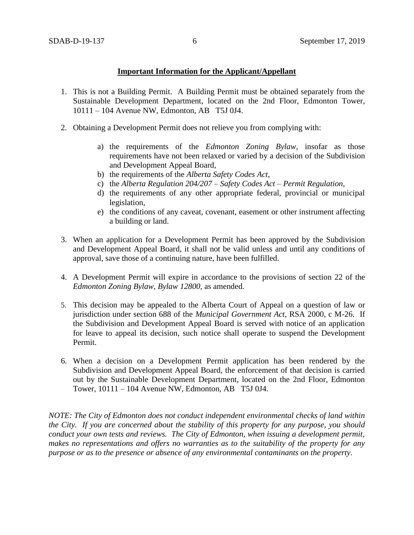## **Important Information for the Applicant/Appellant**

- 1. This is not a Building Permit. A Building Permit must be obtained separately from the Sustainable Development Department, located on the 2nd Floor, Edmonton Tower, 10111 – 104 Avenue NW, Edmonton, AB T5J 0J4.
- 2. Obtaining a Development Permit does not relieve you from complying with:
	- a) the requirements of the *Edmonton Zoning Bylaw*, insofar as those requirements have not been relaxed or varied by a decision of the Subdivision and Development Appeal Board,
	- b) the requirements of the *Alberta Safety Codes Act*,
	- c) the *Alberta Regulation 204/207 – Safety Codes Act – Permit Regulation*,
	- d) the requirements of any other appropriate federal, provincial or municipal legislation,
	- e) the conditions of any caveat, covenant, easement or other instrument affecting a building or land.
- 3. When an application for a Development Permit has been approved by the Subdivision and Development Appeal Board, it shall not be valid unless and until any conditions of approval, save those of a continuing nature, have been fulfilled.
- 4. A Development Permit will expire in accordance to the provisions of section 22 of the *Edmonton Zoning Bylaw, Bylaw 12800*, as amended.
- 5. This decision may be appealed to the Alberta Court of Appeal on a question of law or jurisdiction under section 688 of the *Municipal Government Act*, RSA 2000, c M-26. If the Subdivision and Development Appeal Board is served with notice of an application for leave to appeal its decision, such notice shall operate to suspend the Development Permit.
- 6. When a decision on a Development Permit application has been rendered by the Subdivision and Development Appeal Board, the enforcement of that decision is carried out by the Sustainable Development Department, located on the 2nd Floor, Edmonton Tower, 10111 – 104 Avenue NW, Edmonton, AB T5J 0J4.

*NOTE: The City of Edmonton does not conduct independent environmental checks of land within the City. If you are concerned about the stability of this property for any purpose, you should conduct your own tests and reviews. The City of Edmonton, when issuing a development permit, makes no representations and offers no warranties as to the suitability of the property for any purpose or as to the presence or absence of any environmental contaminants on the property.*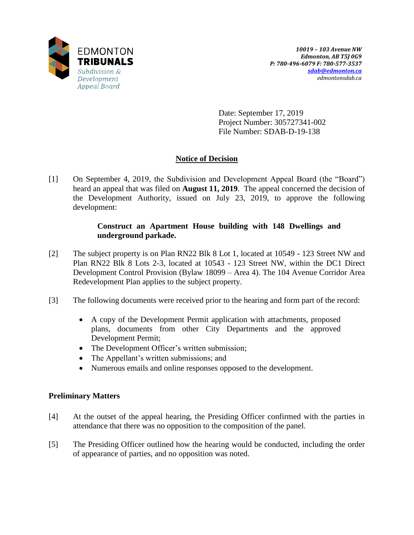

Date: September 17, 2019 Project Number: 305727341-002 File Number: SDAB-D-19-138

# **Notice of Decision**

[1] On September 4, 2019, the Subdivision and Development Appeal Board (the "Board") heard an appeal that was filed on **August 11, 2019**. The appeal concerned the decision of the Development Authority, issued on July 23, 2019, to approve the following development:

# **Construct an Apartment House building with 148 Dwellings and underground parkade.**

- [2] The subject property is on Plan RN22 Blk 8 Lot 1, located at 10549 123 Street NW and Plan RN22 Blk 8 Lots 2-3, located at 10543 - 123 Street NW, within the DC1 Direct Development Control Provision (Bylaw 18099 – Area 4). The 104 Avenue Corridor Area Redevelopment Plan applies to the subject property.
- [3] The following documents were received prior to the hearing and form part of the record:
	- A copy of the Development Permit application with attachments, proposed plans, documents from other City Departments and the approved Development Permit;
	- The Development Officer's written submission;
	- The Appellant's written submissions; and
	- Numerous emails and online responses opposed to the development.

# **Preliminary Matters**

- [4] At the outset of the appeal hearing, the Presiding Officer confirmed with the parties in attendance that there was no opposition to the composition of the panel.
- [5] The Presiding Officer outlined how the hearing would be conducted, including the order of appearance of parties, and no opposition was noted.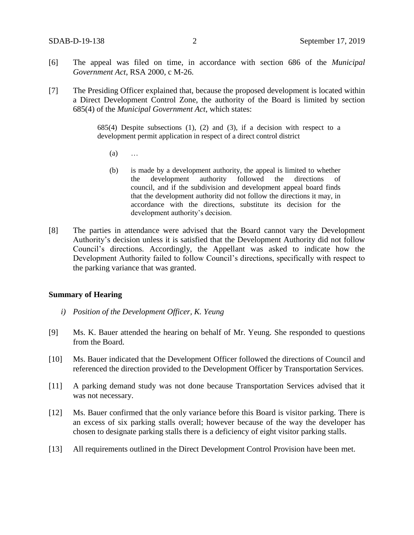- [6] The appeal was filed on time, in accordance with section 686 of the *Municipal Government Act*, RSA 2000, c M-26.
- [7] The Presiding Officer explained that, because the proposed development is located within a Direct Development Control Zone, the authority of the Board is limited by section 685(4) of the *Municipal Government Act*, which states:

 $685(4)$  Despite subsections  $(1)$ ,  $(2)$  and  $(3)$ , if a decision with respect to a development permit application in respect of a direct control district

- (a) …
- (b) is made by a development authority, the appeal is limited to whether the development authority followed the directions of council, and if the subdivision and development appeal board finds that the development authority did not follow the directions it may, in accordance with the directions, substitute its decision for the development authority's decision.
- [8] The parties in attendance were advised that the Board cannot vary the Development Authority's decision unless it is satisfied that the Development Authority did not follow Council's directions. Accordingly, the Appellant was asked to indicate how the Development Authority failed to follow Council's directions, specifically with respect to the parking variance that was granted.

## **Summary of Hearing**

- *i) Position of the Development Officer, K. Yeung*
- [9] Ms. K. Bauer attended the hearing on behalf of Mr. Yeung. She responded to questions from the Board.
- [10] Ms. Bauer indicated that the Development Officer followed the directions of Council and referenced the direction provided to the Development Officer by Transportation Services.
- [11] A parking demand study was not done because Transportation Services advised that it was not necessary.
- [12] Ms. Bauer confirmed that the only variance before this Board is visitor parking. There is an excess of six parking stalls overall; however because of the way the developer has chosen to designate parking stalls there is a deficiency of eight visitor parking stalls.
- [13] All requirements outlined in the Direct Development Control Provision have been met.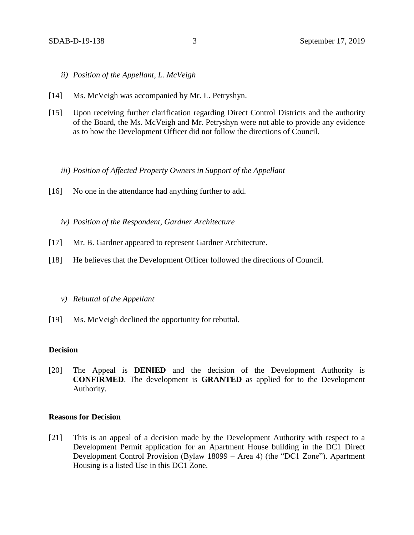- *ii) Position of the Appellant, L. McVeigh*
- [14] Ms. McVeigh was accompanied by Mr. L. Petryshyn.
- [15] Upon receiving further clarification regarding Direct Control Districts and the authority of the Board, the Ms. McVeigh and Mr. Petryshyn were not able to provide any evidence as to how the Development Officer did not follow the directions of Council.

*iii) Position of Affected Property Owners in Support of the Appellant*

- [16] No one in the attendance had anything further to add.
	- *iv) Position of the Respondent, Gardner Architecture*
- [17] Mr. B. Gardner appeared to represent Gardner Architecture.
- [18] He believes that the Development Officer followed the directions of Council.

#### *v) Rebuttal of the Appellant*

[19] Ms. McVeigh declined the opportunity for rebuttal.

## **Decision**

[20] The Appeal is **DENIED** and the decision of the Development Authority is **CONFIRMED**. The development is **GRANTED** as applied for to the Development Authority.

## **Reasons for Decision**

[21] This is an appeal of a decision made by the Development Authority with respect to a Development Permit application for an Apartment House building in the DC1 Direct Development Control Provision (Bylaw 18099 – Area 4) (the "DC1 Zone"). Apartment Housing is a listed Use in this DC1 Zone.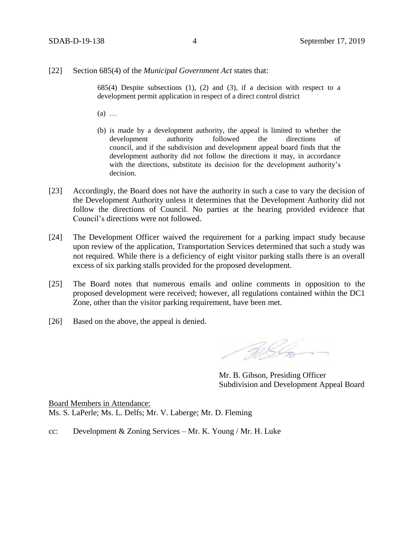#### [22] Section 685(4) of the *Municipal Government Act* states that:

 $685(4)$  Despite subsections  $(1)$ ,  $(2)$  and  $(3)$ , if a decision with respect to a development permit application in respect of a direct control district

- (a) …
- (b) is made by a development authority, the appeal is limited to whether the development authority followed the directions of council, and if the subdivision and development appeal board finds that the development authority did not follow the directions it may, in accordance with the directions, substitute its decision for the development authority's decision.
- [23] Accordingly, the Board does not have the authority in such a case to vary the decision of the Development Authority unless it determines that the Development Authority did not follow the directions of Council. No parties at the hearing provided evidence that Council's directions were not followed.
- [24] The Development Officer waived the requirement for a parking impact study because upon review of the application, Transportation Services determined that such a study was not required. While there is a deficiency of eight visitor parking stalls there is an overall excess of six parking stalls provided for the proposed development.
- [25] The Board notes that numerous emails and online comments in opposition to the proposed development were received; however, all regulations contained within the DC1 Zone, other than the visitor parking requirement, have been met.
- [26] Based on the above, the appeal is denied.

RIG

Mr. B. Gibson, Presiding Officer Subdivision and Development Appeal Board

Board Members in Attendance: Ms. S. LaPerle; Ms. L. Delfs; Mr. V. Laberge; Mr. D. Fleming

cc: Development & Zoning Services – Mr. K. Young / Mr. H. Luke